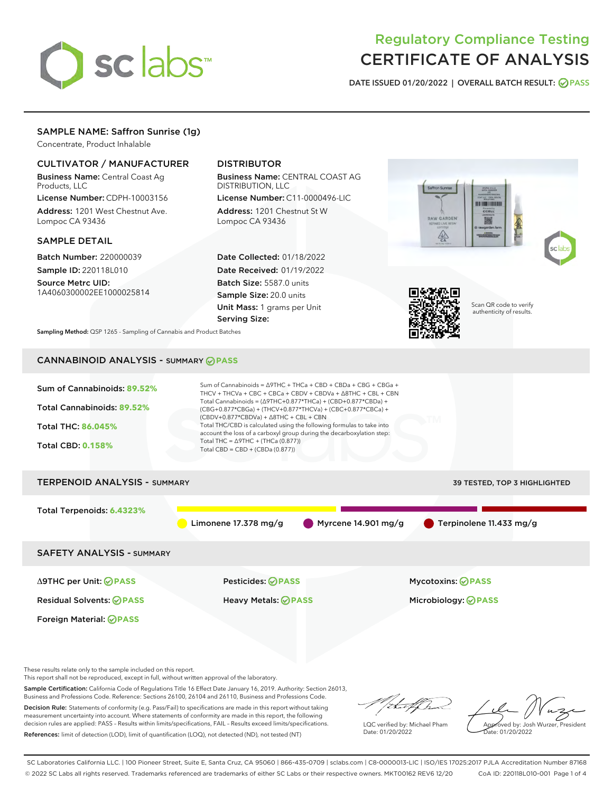

# Regulatory Compliance Testing CERTIFICATE OF ANALYSIS

DATE ISSUED 01/20/2022 | OVERALL BATCH RESULT: @ PASS

## SAMPLE NAME: Saffron Sunrise (1g)

Concentrate, Product Inhalable

#### CULTIVATOR / MANUFACTURER

Business Name: Central Coast Ag Products, LLC

License Number: CDPH-10003156 Address: 1201 West Chestnut Ave. Lompoc CA 93436

#### SAMPLE DETAIL

Batch Number: 220000039 Sample ID: 220118L010

Source Metrc UID: 1A4060300002EE1000025814

## DISTRIBUTOR

Business Name: CENTRAL COAST AG DISTRIBUTION, LLC

License Number: C11-0000496-LIC Address: 1201 Chestnut St W Lompoc CA 93436

Date Collected: 01/18/2022 Date Received: 01/19/2022 Batch Size: 5587.0 units Sample Size: 20.0 units Unit Mass: 1 grams per Unit Serving Size:





Scan QR code to verify authenticity of results.

Sampling Method: QSP 1265 - Sampling of Cannabis and Product Batches

# CANNABINOID ANALYSIS - SUMMARY **PASS**



These results relate only to the sample included on this report.

This report shall not be reproduced, except in full, without written approval of the laboratory.

Sample Certification: California Code of Regulations Title 16 Effect Date January 16, 2019. Authority: Section 26013, Business and Professions Code. Reference: Sections 26100, 26104 and 26110, Business and Professions Code.

Decision Rule: Statements of conformity (e.g. Pass/Fail) to specifications are made in this report without taking measurement uncertainty into account. Where statements of conformity are made in this report, the following decision rules are applied: PASS – Results within limits/specifications, FAIL – Results exceed limits/specifications. References: limit of detection (LOD), limit of quantification (LOQ), not detected (ND), not tested (NT)

that f h

LQC verified by: Michael Pham Date: 01/20/2022

Approved by: Josh Wurzer, President ate: 01/20/2022

SC Laboratories California LLC. | 100 Pioneer Street, Suite E, Santa Cruz, CA 95060 | 866-435-0709 | sclabs.com | C8-0000013-LIC | ISO/IES 17025:2017 PJLA Accreditation Number 87168 © 2022 SC Labs all rights reserved. Trademarks referenced are trademarks of either SC Labs or their respective owners. MKT00162 REV6 12/20 CoA ID: 220118L010-001 Page 1 of 4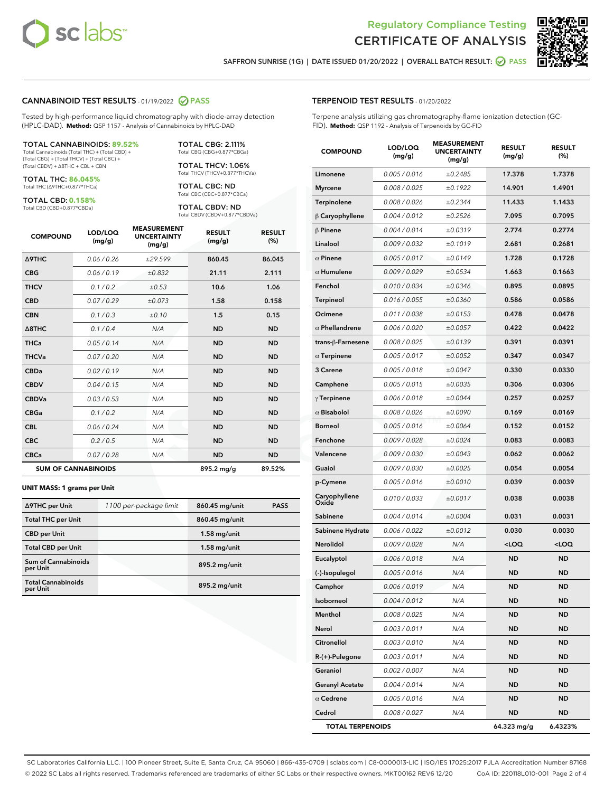



SAFFRON SUNRISE (1G) | DATE ISSUED 01/20/2022 | OVERALL BATCH RESULT: @ PASS

#### CANNABINOID TEST RESULTS - 01/19/2022 2 PASS

Tested by high-performance liquid chromatography with diode-array detection (HPLC-DAD). **Method:** QSP 1157 - Analysis of Cannabinoids by HPLC-DAD

#### TOTAL CANNABINOIDS: **89.52%**

Total Cannabinoids (Total THC) + (Total CBD) + (Total CBG) + (Total THCV) + (Total CBC) + (Total CBDV) + ∆8THC + CBL + CBN

TOTAL THC: **86.045%** Total THC (∆9THC+0.877\*THCa)

TOTAL CBD: **0.158%**

Total CBD (CBD+0.877\*CBDa)

TOTAL CBG: 2.111% Total CBG (CBG+0.877\*CBGa)

TOTAL THCV: 1.06% Total THCV (THCV+0.877\*THCVa)

TOTAL CBC: ND Total CBC (CBC+0.877\*CBCa)

TOTAL CBDV: ND Total CBDV (CBDV+0.877\*CBDVa)

| <b>COMPOUND</b>            | LOD/LOQ<br>(mg/g) | <b>MEASUREMENT</b><br><b>UNCERTAINTY</b><br>(mg/g) | <b>RESULT</b><br>(mg/g) | <b>RESULT</b><br>(%) |
|----------------------------|-------------------|----------------------------------------------------|-------------------------|----------------------|
| <b>A9THC</b>               | 0.06/0.26         | ±29.599                                            | 860.45                  | 86.045               |
| <b>CBG</b>                 | 0.06/0.19         | ±0.832                                             | 21.11                   | 2.111                |
| <b>THCV</b>                | 0.1/0.2           | ±0.53                                              | 10.6                    | 1.06                 |
| <b>CBD</b>                 | 0.07/0.29         | ±0.073                                             | 1.58                    | 0.158                |
| <b>CBN</b>                 | 0.1 / 0.3         | ±0.10                                              | 1.5                     | 0.15                 |
| $\triangle$ 8THC           | 0.1 / 0.4         | N/A                                                | <b>ND</b>               | <b>ND</b>            |
| <b>THCa</b>                | 0.05/0.14         | N/A                                                | <b>ND</b>               | <b>ND</b>            |
| <b>THCVa</b>               | 0.07/0.20         | N/A                                                | <b>ND</b>               | <b>ND</b>            |
| <b>CBDa</b>                | 0.02/0.19         | N/A                                                | <b>ND</b>               | <b>ND</b>            |
| <b>CBDV</b>                | 0.04 / 0.15       | N/A                                                | <b>ND</b>               | <b>ND</b>            |
| <b>CBDVa</b>               | 0.03/0.53         | N/A                                                | <b>ND</b>               | <b>ND</b>            |
| <b>CBGa</b>                | 0.1/0.2           | N/A                                                | <b>ND</b>               | <b>ND</b>            |
| <b>CBL</b>                 | 0.06 / 0.24       | N/A                                                | <b>ND</b>               | <b>ND</b>            |
| <b>CBC</b>                 | 0.2 / 0.5         | N/A                                                | <b>ND</b>               | <b>ND</b>            |
| <b>CBCa</b>                | 0.07/0.28         | N/A                                                | <b>ND</b>               | <b>ND</b>            |
| <b>SUM OF CANNABINOIDS</b> |                   |                                                    | 895.2 mg/g              | 89.52%               |

#### **UNIT MASS: 1 grams per Unit**

| ∆9THC per Unit                        | 1100 per-package limit | 860.45 mg/unit | <b>PASS</b> |
|---------------------------------------|------------------------|----------------|-------------|
| <b>Total THC per Unit</b>             |                        | 860.45 mg/unit |             |
| <b>CBD</b> per Unit                   |                        | $1.58$ mg/unit |             |
| <b>Total CBD per Unit</b>             |                        | $1.58$ mg/unit |             |
| Sum of Cannabinoids<br>per Unit       |                        | 895.2 mg/unit  |             |
| <b>Total Cannabinoids</b><br>per Unit |                        | 895.2 mg/unit  |             |

#### TERPENOID TEST RESULTS - 01/20/2022

Terpene analysis utilizing gas chromatography-flame ionization detection (GC-FID). **Method:** QSP 1192 - Analysis of Terpenoids by GC-FID

| <b>COMPOUND</b>         | LOD/LOQ<br>(mg/g)    | <b>MEASUREMENT</b><br><b>UNCERTAINTY</b><br>(mg/g) | <b>RESULT</b><br>(mg/g)                         | <b>RESULT</b><br>(%) |
|-------------------------|----------------------|----------------------------------------------------|-------------------------------------------------|----------------------|
| Limonene                | 0.005 / 0.016        | ±0.2485                                            | 17.378                                          | 1.7378               |
| <b>Myrcene</b>          | 0.008 / 0.025        | ±0.1922                                            | 14.901                                          | 1.4901               |
| <b>Terpinolene</b>      | 0.008 / 0.026        | ±0.2344                                            | 11.433                                          | 1.1433               |
| $\beta$ Caryophyllene   | 0.004 / 0.012        | ±0.2526                                            | 7.095                                           | 0.7095               |
| $\beta$ Pinene          | 0.004 / 0.014        | ±0.0319                                            | 2.774                                           | 0.2774               |
| Linalool                | 0.009 / 0.032        | ±0.1019                                            | 2.681                                           | 0.2681               |
| $\alpha$ Pinene         | 0.005 / 0.017        | ±0.0149                                            | 1.728                                           | 0.1728               |
| $\alpha$ Humulene       | 0.009 / 0.029        | ±0.0534                                            | 1.663                                           | 0.1663               |
| Fenchol                 | 0.010 / 0.034        | ±0.0346                                            | 0.895                                           | 0.0895               |
| Terpineol               | 0.016 / 0.055        | ±0.0360                                            | 0.586                                           | 0.0586               |
| Ocimene                 | 0.011/0.038          | ±0.0153                                            | 0.478                                           | 0.0478               |
| $\alpha$ Phellandrene   | 0.006 / 0.020        | ±0.0057                                            | 0.422                                           | 0.0422               |
| trans-ß-Farnesene       | 0.008 / 0.025        | ±0.0139                                            | 0.391                                           | 0.0391               |
| $\alpha$ Terpinene      | 0.005 / 0.017        | ±0.0052                                            | 0.347                                           | 0.0347               |
| 3 Carene                | 0.005 / 0.018        | ±0.0047                                            | 0.330                                           | 0.0330               |
| Camphene                | 0.005 / 0.015        | ±0.0035                                            | 0.306                                           | 0.0306               |
| $\gamma$ Terpinene      | 0.006 / 0.018        | ±0.0044                                            | 0.257                                           | 0.0257               |
| $\alpha$ Bisabolol      | 0.008 / 0.026        | ±0.0090                                            | 0.169                                           | 0.0169               |
| <b>Borneol</b>          | 0.005 / 0.016        | ±0.0064                                            | 0.152                                           | 0.0152               |
| Fenchone                | 0.009 / 0.028        | ±0.0024                                            | 0.083                                           | 0.0083               |
| Valencene               | 0.009 / 0.030        | ±0.0043                                            | 0.062                                           | 0.0062               |
| Guaiol                  | <i>0.009 / 0.030</i> | ±0.0025                                            | 0.054                                           | 0.0054               |
| p-Cymene                | 0.005 / 0.016        | ±0.0010                                            | 0.039                                           | 0.0039               |
| Caryophyllene<br>Oxide  | 0.010 / 0.033        | ±0.0017                                            | 0.038                                           | 0.0038               |
| Sabinene                | 0.004 / 0.014        | ±0.0004                                            | 0.031                                           | 0.0031               |
| Sabinene Hydrate        | 0.006 / 0.022        | ±0.0012                                            | 0.030                                           | 0.0030               |
| Nerolidol               | 0.009 / 0.028        | N/A                                                | <loq< th=""><th><loq< th=""></loq<></th></loq<> | <loq< th=""></loq<>  |
| Eucalyptol              | 0.006 / 0.018        | N/A                                                | ND                                              | <b>ND</b>            |
| (-)-Isopulegol          | 0.005 / 0.016        | N/A                                                | <b>ND</b>                                       | ND                   |
| Camphor                 | 0.006 / 0.019        | N/A                                                | <b>ND</b>                                       | ND                   |
| Isoborneol              | 0.004 / 0.012        | N/A                                                | ND                                              | ND                   |
| Menthol                 | 0.008 / 0.025        | N/A                                                | ND                                              | ND                   |
| Nerol                   | 0.003 / 0.011        | N/A                                                | <b>ND</b>                                       | <b>ND</b>            |
| Citronellol             | 0.003 / 0.010        | N/A                                                | ND                                              | ND                   |
| R-(+)-Pulegone          | 0.003 / 0.011        | N/A                                                | ND                                              | ND                   |
| Geraniol                | 0.002 / 0.007        | N/A                                                | <b>ND</b>                                       | ND                   |
| <b>Geranyl Acetate</b>  | 0.004 / 0.014        | N/A                                                | ND                                              | ND                   |
| $\alpha$ Cedrene        | 0.005 / 0.016        | N/A                                                | ND                                              | ND                   |
| Cedrol                  | 0.008 / 0.027        | N/A                                                | <b>ND</b>                                       | ND                   |
| <b>TOTAL TERPENOIDS</b> |                      |                                                    | 64.323 mg/g                                     | 6.4323%              |

SC Laboratories California LLC. | 100 Pioneer Street, Suite E, Santa Cruz, CA 95060 | 866-435-0709 | sclabs.com | C8-0000013-LIC | ISO/IES 17025:2017 PJLA Accreditation Number 87168 © 2022 SC Labs all rights reserved. Trademarks referenced are trademarks of either SC Labs or their respective owners. MKT00162 REV6 12/20 CoA ID: 220118L010-001 Page 2 of 4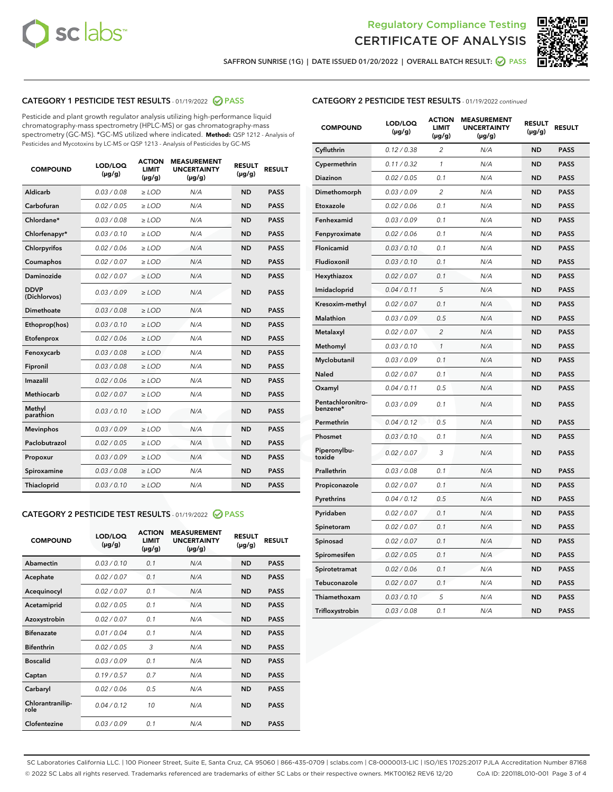



SAFFRON SUNRISE (1G) | DATE ISSUED 01/20/2022 | OVERALL BATCH RESULT: @ PASS

## CATEGORY 1 PESTICIDE TEST RESULTS - 01/19/2022 2 PASS

Pesticide and plant growth regulator analysis utilizing high-performance liquid chromatography-mass spectrometry (HPLC-MS) or gas chromatography-mass spectrometry (GC-MS). \*GC-MS utilized where indicated. **Method:** QSP 1212 - Analysis of Pesticides and Mycotoxins by LC-MS or QSP 1213 - Analysis of Pesticides by GC-MS

| <b>Aldicarb</b><br>0.03 / 0.08<br><b>ND</b><br>$\ge$ LOD<br>N/A<br><b>PASS</b><br>Carbofuran<br>0.02/0.05<br>$\ge$ LOD<br>N/A<br><b>ND</b><br><b>PASS</b><br>Chlordane*<br>0.03 / 0.08<br><b>ND</b><br>$>$ LOD<br>N/A<br><b>PASS</b><br>0.03/0.10<br><b>ND</b><br><b>PASS</b><br>Chlorfenapyr*<br>$\ge$ LOD<br>N/A<br>0.02 / 0.06<br>N/A<br><b>ND</b><br><b>PASS</b><br>Chlorpyrifos<br>$\ge$ LOD<br>0.02 / 0.07<br>N/A<br><b>ND</b><br><b>PASS</b><br>Coumaphos<br>$>$ LOD<br>Daminozide<br>0.02 / 0.07<br>$\ge$ LOD<br>N/A<br><b>ND</b><br><b>PASS</b><br><b>DDVP</b><br>0.03/0.09<br>$\ge$ LOD<br>N/A<br><b>ND</b><br><b>PASS</b><br>(Dichlorvos)<br>Dimethoate<br><b>ND</b><br><b>PASS</b><br>0.03 / 0.08<br>$>$ LOD<br>N/A<br>0.03/0.10<br>Ethoprop(hos)<br>$\ge$ LOD<br>N/A<br><b>ND</b><br><b>PASS</b><br>0.02 / 0.06<br>$\ge$ LOD<br>N/A<br><b>ND</b><br><b>PASS</b><br>Etofenprox<br>Fenoxycarb<br>0.03 / 0.08<br>$>$ LOD<br>N/A<br><b>ND</b><br><b>PASS</b><br>0.03 / 0.08<br><b>ND</b><br><b>PASS</b><br>Fipronil<br>$\ge$ LOD<br>N/A<br>Imazalil<br>0.02 / 0.06<br>$>$ LOD<br>N/A<br><b>ND</b><br><b>PASS</b><br>0.02 / 0.07<br>Methiocarb<br>N/A<br><b>ND</b><br>$>$ LOD<br><b>PASS</b><br>Methyl<br>0.03/0.10<br>$\ge$ LOD<br>N/A<br><b>ND</b><br><b>PASS</b><br>parathion<br>0.03/0.09<br>$\ge$ LOD<br>N/A<br><b>ND</b><br><b>PASS</b><br><b>Mevinphos</b><br>Paclobutrazol<br>0.02 / 0.05<br>$\ge$ LOD<br>N/A<br><b>ND</b><br><b>PASS</b><br>0.03/0.09<br>N/A<br>$\ge$ LOD<br><b>ND</b><br><b>PASS</b><br>Propoxur<br>0.03 / 0.08<br><b>ND</b><br><b>PASS</b><br>Spiroxamine<br>$\ge$ LOD<br>N/A<br><b>PASS</b><br>Thiacloprid<br>0.03/0.10<br>$\ge$ LOD<br>N/A<br><b>ND</b> | <b>COMPOUND</b> | LOD/LOQ<br>$(\mu g/g)$ | <b>ACTION</b><br>LIMIT<br>$(\mu g/g)$ | <b>MEASUREMENT</b><br><b>UNCERTAINTY</b><br>$(\mu g/g)$ | <b>RESULT</b><br>$(\mu g/g)$ | <b>RESULT</b> |
|----------------------------------------------------------------------------------------------------------------------------------------------------------------------------------------------------------------------------------------------------------------------------------------------------------------------------------------------------------------------------------------------------------------------------------------------------------------------------------------------------------------------------------------------------------------------------------------------------------------------------------------------------------------------------------------------------------------------------------------------------------------------------------------------------------------------------------------------------------------------------------------------------------------------------------------------------------------------------------------------------------------------------------------------------------------------------------------------------------------------------------------------------------------------------------------------------------------------------------------------------------------------------------------------------------------------------------------------------------------------------------------------------------------------------------------------------------------------------------------------------------------------------------------------------------------------------------------------------------------------------------------------------------------------------------------------|-----------------|------------------------|---------------------------------------|---------------------------------------------------------|------------------------------|---------------|
|                                                                                                                                                                                                                                                                                                                                                                                                                                                                                                                                                                                                                                                                                                                                                                                                                                                                                                                                                                                                                                                                                                                                                                                                                                                                                                                                                                                                                                                                                                                                                                                                                                                                                              |                 |                        |                                       |                                                         |                              |               |
|                                                                                                                                                                                                                                                                                                                                                                                                                                                                                                                                                                                                                                                                                                                                                                                                                                                                                                                                                                                                                                                                                                                                                                                                                                                                                                                                                                                                                                                                                                                                                                                                                                                                                              |                 |                        |                                       |                                                         |                              |               |
|                                                                                                                                                                                                                                                                                                                                                                                                                                                                                                                                                                                                                                                                                                                                                                                                                                                                                                                                                                                                                                                                                                                                                                                                                                                                                                                                                                                                                                                                                                                                                                                                                                                                                              |                 |                        |                                       |                                                         |                              |               |
|                                                                                                                                                                                                                                                                                                                                                                                                                                                                                                                                                                                                                                                                                                                                                                                                                                                                                                                                                                                                                                                                                                                                                                                                                                                                                                                                                                                                                                                                                                                                                                                                                                                                                              |                 |                        |                                       |                                                         |                              |               |
|                                                                                                                                                                                                                                                                                                                                                                                                                                                                                                                                                                                                                                                                                                                                                                                                                                                                                                                                                                                                                                                                                                                                                                                                                                                                                                                                                                                                                                                                                                                                                                                                                                                                                              |                 |                        |                                       |                                                         |                              |               |
|                                                                                                                                                                                                                                                                                                                                                                                                                                                                                                                                                                                                                                                                                                                                                                                                                                                                                                                                                                                                                                                                                                                                                                                                                                                                                                                                                                                                                                                                                                                                                                                                                                                                                              |                 |                        |                                       |                                                         |                              |               |
|                                                                                                                                                                                                                                                                                                                                                                                                                                                                                                                                                                                                                                                                                                                                                                                                                                                                                                                                                                                                                                                                                                                                                                                                                                                                                                                                                                                                                                                                                                                                                                                                                                                                                              |                 |                        |                                       |                                                         |                              |               |
|                                                                                                                                                                                                                                                                                                                                                                                                                                                                                                                                                                                                                                                                                                                                                                                                                                                                                                                                                                                                                                                                                                                                                                                                                                                                                                                                                                                                                                                                                                                                                                                                                                                                                              |                 |                        |                                       |                                                         |                              |               |
|                                                                                                                                                                                                                                                                                                                                                                                                                                                                                                                                                                                                                                                                                                                                                                                                                                                                                                                                                                                                                                                                                                                                                                                                                                                                                                                                                                                                                                                                                                                                                                                                                                                                                              |                 |                        |                                       |                                                         |                              |               |
|                                                                                                                                                                                                                                                                                                                                                                                                                                                                                                                                                                                                                                                                                                                                                                                                                                                                                                                                                                                                                                                                                                                                                                                                                                                                                                                                                                                                                                                                                                                                                                                                                                                                                              |                 |                        |                                       |                                                         |                              |               |
|                                                                                                                                                                                                                                                                                                                                                                                                                                                                                                                                                                                                                                                                                                                                                                                                                                                                                                                                                                                                                                                                                                                                                                                                                                                                                                                                                                                                                                                                                                                                                                                                                                                                                              |                 |                        |                                       |                                                         |                              |               |
|                                                                                                                                                                                                                                                                                                                                                                                                                                                                                                                                                                                                                                                                                                                                                                                                                                                                                                                                                                                                                                                                                                                                                                                                                                                                                                                                                                                                                                                                                                                                                                                                                                                                                              |                 |                        |                                       |                                                         |                              |               |
|                                                                                                                                                                                                                                                                                                                                                                                                                                                                                                                                                                                                                                                                                                                                                                                                                                                                                                                                                                                                                                                                                                                                                                                                                                                                                                                                                                                                                                                                                                                                                                                                                                                                                              |                 |                        |                                       |                                                         |                              |               |
|                                                                                                                                                                                                                                                                                                                                                                                                                                                                                                                                                                                                                                                                                                                                                                                                                                                                                                                                                                                                                                                                                                                                                                                                                                                                                                                                                                                                                                                                                                                                                                                                                                                                                              |                 |                        |                                       |                                                         |                              |               |
|                                                                                                                                                                                                                                                                                                                                                                                                                                                                                                                                                                                                                                                                                                                                                                                                                                                                                                                                                                                                                                                                                                                                                                                                                                                                                                                                                                                                                                                                                                                                                                                                                                                                                              |                 |                        |                                       |                                                         |                              |               |
|                                                                                                                                                                                                                                                                                                                                                                                                                                                                                                                                                                                                                                                                                                                                                                                                                                                                                                                                                                                                                                                                                                                                                                                                                                                                                                                                                                                                                                                                                                                                                                                                                                                                                              |                 |                        |                                       |                                                         |                              |               |
|                                                                                                                                                                                                                                                                                                                                                                                                                                                                                                                                                                                                                                                                                                                                                                                                                                                                                                                                                                                                                                                                                                                                                                                                                                                                                                                                                                                                                                                                                                                                                                                                                                                                                              |                 |                        |                                       |                                                         |                              |               |
|                                                                                                                                                                                                                                                                                                                                                                                                                                                                                                                                                                                                                                                                                                                                                                                                                                                                                                                                                                                                                                                                                                                                                                                                                                                                                                                                                                                                                                                                                                                                                                                                                                                                                              |                 |                        |                                       |                                                         |                              |               |
|                                                                                                                                                                                                                                                                                                                                                                                                                                                                                                                                                                                                                                                                                                                                                                                                                                                                                                                                                                                                                                                                                                                                                                                                                                                                                                                                                                                                                                                                                                                                                                                                                                                                                              |                 |                        |                                       |                                                         |                              |               |
|                                                                                                                                                                                                                                                                                                                                                                                                                                                                                                                                                                                                                                                                                                                                                                                                                                                                                                                                                                                                                                                                                                                                                                                                                                                                                                                                                                                                                                                                                                                                                                                                                                                                                              |                 |                        |                                       |                                                         |                              |               |
|                                                                                                                                                                                                                                                                                                                                                                                                                                                                                                                                                                                                                                                                                                                                                                                                                                                                                                                                                                                                                                                                                                                                                                                                                                                                                                                                                                                                                                                                                                                                                                                                                                                                                              |                 |                        |                                       |                                                         |                              |               |

#### CATEGORY 2 PESTICIDE TEST RESULTS - 01/19/2022 2 PASS

| <b>COMPOUND</b>          | LOD/LOO<br>$(\mu g/g)$ | <b>ACTION</b><br>LIMIT<br>$(\mu g/g)$ | <b>MEASUREMENT</b><br><b>UNCERTAINTY</b><br>$(\mu g/g)$ | <b>RESULT</b><br>$(\mu g/g)$ | <b>RESULT</b> |
|--------------------------|------------------------|---------------------------------------|---------------------------------------------------------|------------------------------|---------------|
| Abamectin                | 0.03/0.10              | 0.1                                   | N/A                                                     | <b>ND</b>                    | <b>PASS</b>   |
| Acephate                 | 0.02/0.07              | 0.1                                   | N/A                                                     | <b>ND</b>                    | <b>PASS</b>   |
| Acequinocyl              | 0.02/0.07              | 0.1                                   | N/A                                                     | <b>ND</b>                    | <b>PASS</b>   |
| Acetamiprid              | 0.02/0.05              | 0.1                                   | N/A                                                     | <b>ND</b>                    | <b>PASS</b>   |
| Azoxystrobin             | 0.02/0.07              | 0.1                                   | N/A                                                     | <b>ND</b>                    | <b>PASS</b>   |
| <b>Bifenazate</b>        | 0.01 / 0.04            | 0.1                                   | N/A                                                     | <b>ND</b>                    | <b>PASS</b>   |
| <b>Bifenthrin</b>        | 0.02 / 0.05            | 3                                     | N/A                                                     | <b>ND</b>                    | <b>PASS</b>   |
| <b>Boscalid</b>          | 0.03/0.09              | 0.1                                   | N/A                                                     | <b>ND</b>                    | <b>PASS</b>   |
| Captan                   | 0.19/0.57              | 0.7                                   | N/A                                                     | <b>ND</b>                    | <b>PASS</b>   |
| Carbaryl                 | 0.02/0.06              | 0.5                                   | N/A                                                     | <b>ND</b>                    | <b>PASS</b>   |
| Chlorantranilip-<br>role | 0.04/0.12              | 10                                    | N/A                                                     | <b>ND</b>                    | <b>PASS</b>   |
| Clofentezine             | 0.03/0.09              | 0.1                                   | N/A                                                     | <b>ND</b>                    | <b>PASS</b>   |

| <b>CATEGORY 2 PESTICIDE TEST RESULTS</b> - 01/19/2022 continued |
|-----------------------------------------------------------------|
|-----------------------------------------------------------------|

| <b>COMPOUND</b>               | LOD/LOQ<br>(µg/g) | <b>ACTION</b><br>LIMIT<br>$(\mu g/g)$ | <b>MEASUREMENT</b><br><b>UNCERTAINTY</b><br>$(\mu g/g)$ | <b>RESULT</b><br>(µg/g) | <b>RESULT</b> |
|-------------------------------|-------------------|---------------------------------------|---------------------------------------------------------|-------------------------|---------------|
| Cyfluthrin                    | 0.12 / 0.38       | 2                                     | N/A                                                     | <b>ND</b>               | <b>PASS</b>   |
| Cypermethrin                  | 0.11 / 0.32       | 1                                     | N/A                                                     | <b>ND</b>               | <b>PASS</b>   |
| Diazinon                      | 0.02 / 0.05       | 0.1                                   | N/A                                                     | ND                      | PASS          |
| Dimethomorph                  | 0.03 / 0.09       | $\overline{2}$                        | N/A                                                     | <b>ND</b>               | <b>PASS</b>   |
| Etoxazole                     | 0.02 / 0.06       | 0.1                                   | N/A                                                     | ND                      | <b>PASS</b>   |
| Fenhexamid                    | 0.03 / 0.09       | 0.1                                   | N/A                                                     | ND                      | <b>PASS</b>   |
| Fenpyroximate                 | 0.02 / 0.06       | 0.1                                   | N/A                                                     | <b>ND</b>               | <b>PASS</b>   |
| Flonicamid                    | 0.03 / 0.10       | 0.1                                   | N/A                                                     | <b>ND</b>               | <b>PASS</b>   |
| Fludioxonil                   | 0.03 / 0.10       | 0.1                                   | N/A                                                     | <b>ND</b>               | <b>PASS</b>   |
| Hexythiazox                   | 0.02 / 0.07       | 0.1                                   | N/A                                                     | ND                      | <b>PASS</b>   |
| Imidacloprid                  | 0.04 / 0.11       | 5                                     | N/A                                                     | <b>ND</b>               | <b>PASS</b>   |
| Kresoxim-methyl               | 0.02 / 0.07       | 0.1                                   | N/A                                                     | ND                      | <b>PASS</b>   |
| Malathion                     | 0.03 / 0.09       | 0.5                                   | N/A                                                     | ND                      | <b>PASS</b>   |
| Metalaxyl                     | 0.02 / 0.07       | $\overline{2}$                        | N/A                                                     | <b>ND</b>               | <b>PASS</b>   |
| Methomyl                      | 0.03 / 0.10       | 1                                     | N/A                                                     | <b>ND</b>               | <b>PASS</b>   |
| Myclobutanil                  | 0.03 / 0.09       | 0.1                                   | N/A                                                     | ND                      | <b>PASS</b>   |
| <b>Naled</b>                  | 0.02 / 0.07       | 0.1                                   | N/A                                                     | ND                      | <b>PASS</b>   |
| Oxamyl                        | 0.04 / 0.11       | 0.5                                   | N/A                                                     | ND                      | <b>PASS</b>   |
| Pentachloronitro-<br>benzene* | 0.03/0.09         | 0.1                                   | N/A                                                     | ND                      | <b>PASS</b>   |
| Permethrin                    | 0.04 / 0.12       | 0.5                                   | N/A                                                     | ND                      | <b>PASS</b>   |
| Phosmet                       | 0.03 / 0.10       | 0.1                                   | N/A                                                     | <b>ND</b>               | <b>PASS</b>   |
| Piperonylbu-<br>toxide        | 0.02 / 0.07       | 3                                     | N/A                                                     | ND                      | <b>PASS</b>   |
| Prallethrin                   | 0.03 / 0.08       | 0.1                                   | N/A                                                     | <b>ND</b>               | <b>PASS</b>   |
| Propiconazole                 | 0.02 / 0.07       | 0.1                                   | N/A                                                     | ND                      | <b>PASS</b>   |
| Pyrethrins                    | 0.04 / 0.12       | 0.5                                   | N/A                                                     | ND                      | <b>PASS</b>   |
| Pyridaben                     | 0.02 / 0.07       | 0.1                                   | N/A                                                     | ND                      | <b>PASS</b>   |
| Spinetoram                    | 0.02 / 0.07       | 0.1                                   | N/A                                                     | ND                      | <b>PASS</b>   |
| Spinosad                      | 0.02 / 0.07       | 0.1                                   | N/A                                                     | ND                      | <b>PASS</b>   |
| Spiromesifen                  | 0.02 / 0.05       | 0.1                                   | N/A                                                     | ND                      | <b>PASS</b>   |
| Spirotetramat                 | 0.02 / 0.06       | 0.1                                   | N/A                                                     | ND                      | <b>PASS</b>   |
| Tebuconazole                  | 0.02 / 0.07       | 0.1                                   | N/A                                                     | ND                      | <b>PASS</b>   |
| Thiamethoxam                  | 0.03 / 0.10       | 5                                     | N/A                                                     | ND                      | <b>PASS</b>   |
| Trifloxystrobin               | 0.03 / 0.08       | 0.1                                   | N/A                                                     | ND                      | <b>PASS</b>   |

SC Laboratories California LLC. | 100 Pioneer Street, Suite E, Santa Cruz, CA 95060 | 866-435-0709 | sclabs.com | C8-0000013-LIC | ISO/IES 17025:2017 PJLA Accreditation Number 87168 © 2022 SC Labs all rights reserved. Trademarks referenced are trademarks of either SC Labs or their respective owners. MKT00162 REV6 12/20 CoA ID: 220118L010-001 Page 3 of 4